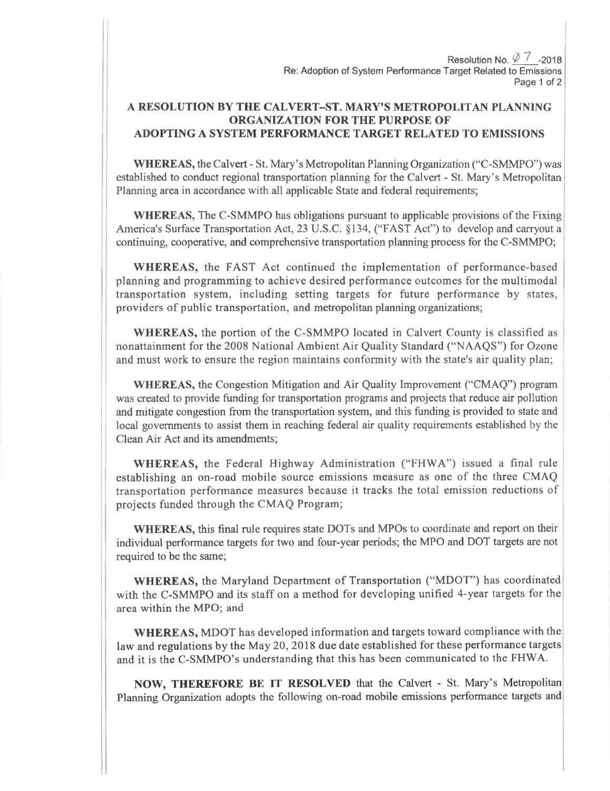Resolution No.  $\varphi$  7 -2018 Re: Adoption of System Performance Target Related to Emissions Page 1 of 2

## A RESOLUTION BY THE CALVERT-ST. MARY'S METROPOLITAN PLANNING ORGANIZATION FOR THE PURPOSE OF ADOPTING A SYSTEM PERFORMANCE TARGET RELATED TO EMISSIONS

WHEREAS, the Calvert - St. Mary's Metropolitan Planning Organization ("C-SMMPO") was established to conduct regional transportation planning for the Calvert - St. Mary's Metropolitan Planning area in accordance with all applicable State and federal requirernents;

WHEREAS, The C-SMMPO has obligations pursuant to applicable provisions of the Fixing America's Surface Transportation Act, 23 U.S.C. \$134, ('FAST Act") to develop and carryout <sup>a</sup> continuing, cooperative, and comprehensive transportation planning process for the C-SMMPO;

WHEREAS, the FAST Act continued the implementation of performance-based planning and programming to achieve desired performance outcomes for the multimodal transportation system, including setting targets for future performance by states, providers of public transportation, and metropolitan planning organizations;

WHEREAS, the portion of the C-SMMPO located in Calvert County is classified as nonattainment for the 2008 National Ambient Air Quality Standard ("NAAQS") for Ozone and must work to ensure the region maintains conformity with the state's air quality plan;

WHEREAS, the Congestion Mitigation and Air Quality Improvement ("CMAQ") program was created to provide funding for transportation programs and projects that reduce air pollution and mitigate congestion from the transportation system, and this funding is provided to state and local governments to assist them in reaching federal air quality requirements established by the Clean Air Act and its amendments;

WHEREAS, the Federal Highway Administration ("FHWA") issued a final rule establishing an on-road mobile source emissions measure as one of the three CMAQ transportation performance measures because it tracks the total emission reductions of projects funded through the CMAQ Program;

WHEREAS, this final rule requires state DOTS and MPOs to coordinate and report on their individual performance targets for two and four-year periods; the MPO and DOT targets are not required to be the same;

WHEREAS, the Maryland Department of Transportation ("MDOT") has coordinated with the C-SMMPO and its staff on a method for developing unified 4-year targets for the area within the MPO; and

WHEREAS, MDOT has developed information and targets toward compliance with the law and regulations by the May 20,2018 due date established for these performance targets and it is the C-SMMPO's understanding that this has been communicated to the FHWA.

NOW, THEREFORE BE IT RESOLVED that the Calvert - St. Mary's Metropolitan Planning Organization adopts the following on-road mobile emissions performance targets and